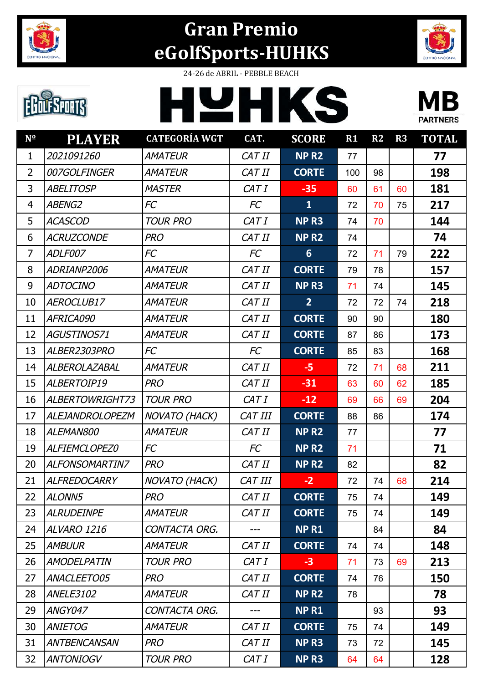

## **Gran Premio eGolfSports-HUHKS**



## **EDUESPORTS**

24-26 de ABRIL - PEBBLE BEACH





| N <sup>o</sup> | <b>PLAYER</b>          | <b>CATEGORÍA WGT</b> | CAT.           | <b>SCORE</b>            | $R1$ | R2 | R3 | <b>TOTAL</b> |
|----------------|------------------------|----------------------|----------------|-------------------------|------|----|----|--------------|
| 1              | 2021091260             | <b>AMATEUR</b>       | CAT II         | <b>NPR2</b>             | 77   |    |    | 77           |
| 2              | 007GOLFINGER           | <b>AMATEUR</b>       | CAT II         | <b>CORTE</b>            | 100  | 98 |    | 198          |
| 3              | <b>ABELITOSP</b>       | <b>MASTER</b>        | CAT I          | $-35$                   | 60   | 61 | 60 | 181          |
| $\overline{4}$ | <b>ABENG2</b>          | FC                   | FC             | $\overline{\mathbf{1}}$ | 72   | 70 | 75 | 217          |
| 5              | <b>ACASCOD</b>         | <b>TOUR PRO</b>      | CAT I          | NP <sub>R3</sub>        | 74   | 70 |    | 144          |
| 6              | <b>ACRUZCONDE</b>      | <b>PRO</b>           | CAT II         | <b>NPR2</b>             | 74   |    |    | 74           |
| $\overline{7}$ | ADLF007                | FC                   | FC             | $6\phantom{1}$          | 72   | 71 | 79 | 222          |
| 8              | ADRIANP2006            | <b>AMATEUR</b>       | CAT II         | <b>CORTE</b>            | 79   | 78 |    | 157          |
| 9              | <b>ADTOCINO</b>        | <b>AMATEUR</b>       | CAT II         | NP <sub>R3</sub>        | 71   | 74 |    | 145          |
| 10             | AEROCLUB17             | <b>AMATEUR</b>       | CAT II         | $\overline{2}$          | 72   | 72 | 74 | 218          |
| 11             | AFRICA090              | <b>AMATEUR</b>       | CAT II         | <b>CORTE</b>            | 90   | 90 |    | 180          |
| 12             | AGUSTINOS71            | <b>AMATEUR</b>       | CAT II         | <b>CORTE</b>            | 87   | 86 |    | 173          |
| 13             | ALBER2303PRO           | FC                   | FC             | <b>CORTE</b>            | 85   | 83 |    | 168          |
| 14             | ALBEROLAZABAL          | <b>AMATEUR</b>       | CAT II         | $-5$                    | 72   | 71 | 68 | 211          |
| 15             | ALBERTOIP19            | <b>PRO</b>           | CAT II         | $-31$                   | 63   | 60 | 62 | 185          |
| 16             | ALBERTOWRIGHT73        | <b>TOUR PRO</b>      | CAT I          | $-12$                   | 69   | 66 | 69 | 204          |
| 17             | <b>ALEJANDROLOPEZM</b> | <b>NOVATO (HACK)</b> | <b>CAT III</b> | <b>CORTE</b>            | 88   | 86 |    | 174          |
| 18             | ALEMAN800              | <b>AMATEUR</b>       | CAT II         | NP <sub>R2</sub>        | 77   |    |    | 77           |
| 19             | ALFIEMCLOPEZ0          | FC                   | FC             | NP <sub>R2</sub>        | 71   |    |    | 71           |
| 20             | <b>ALFONSOMARTIN7</b>  | <b>PRO</b>           | CAT II         | NP <sub>R2</sub>        | 82   |    |    | 82           |
| 21             | <b>ALFREDOCARRY</b>    | NOVATO (HACK)        | <b>CAT III</b> | $-2$                    | 72   | 74 | 68 | 214          |
| 22             | ALONN5                 | <b>PRO</b>           | CAT II         | <b>CORTE</b>            | 75   | 74 |    | 149          |
| 23             | <b>ALRUDEINPE</b>      | <b>AMATEUR</b>       | CAT II         | <b>CORTE</b>            | 75   | 74 |    | 149          |
| 24             | ALVARO 1216            | CONTACTA ORG.        | ---            | <b>NPR1</b>             |      | 84 |    | 84           |
| 25             | <b>AMBUUR</b>          | <b>AMATEUR</b>       | CAT II         | <b>CORTE</b>            | 74   | 74 |    | 148          |
| 26             | <b>AMODELPATIN</b>     | <b>TOUR PRO</b>      | CAT I          | $-3$                    | 71   | 73 | 69 | 213          |
| 27             | ANACLEETO05            | <b>PRO</b>           | CAT II         | <b>CORTE</b>            | 74   | 76 |    | 150          |
| 28             | <b>ANELE3102</b>       | <b>AMATEUR</b>       | CAT II         | <b>NP R2</b>            | 78   |    |    | 78           |
| 29             | ANGY047                | CONTACTA ORG.        | ---            | <b>NPR1</b>             |      | 93 |    | 93           |
| 30             | <b>ANIETOG</b>         | <b>AMATEUR</b>       | CAT II         | <b>CORTE</b>            | 75   | 74 |    | 149          |
| 31             | <b>ANTBENCANSAN</b>    | <b>PRO</b>           | CAT II         | NP <sub>R3</sub>        | 73   | 72 |    | 145          |
| 32             | <b>ANTONIOGV</b>       | <b>TOUR PRO</b>      | CAT I          | NP <sub>R3</sub>        | 64   | 64 |    | 128          |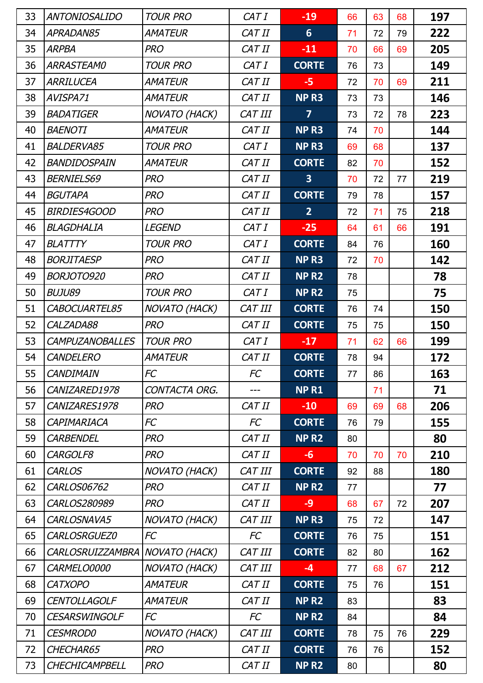| 33 | <b>ANTONIOSALIDO</b>   | <b>TOUR PRO</b>      | CAT I     | $-19$                   | 66 | 63 | 68 | 197 |
|----|------------------------|----------------------|-----------|-------------------------|----|----|----|-----|
| 34 | APRADAN85              | <b>AMATEUR</b>       | CAT II    | $6\phantom{1}$          | 71 | 72 | 79 | 222 |
| 35 | <b>ARPBA</b>           | <b>PRO</b>           | CAT II    | $-11$                   | 70 | 66 | 69 | 205 |
| 36 | <b>ARRASTEAMO</b>      | <b>TOUR PRO</b>      | CAT I     | <b>CORTE</b>            | 76 | 73 |    | 149 |
| 37 | ARRILUCEA              | <b>AMATEUR</b>       | CAT II    | $-5$                    | 72 | 70 | 69 | 211 |
| 38 | AVISPA71               | <b>AMATEUR</b>       | CAT II    | NP <sub>R3</sub>        | 73 | 73 |    | 146 |
| 39 | <b>BADATIGER</b>       | <b>NOVATO (HACK)</b> | CAT III   | $\overline{7}$          | 73 | 72 | 78 | 223 |
| 40 | <b>BAENOTI</b>         | <b>AMATEUR</b>       | CAT II    | NP <sub>R3</sub>        | 74 | 70 |    | 144 |
| 41 | <b>BALDERVA85</b>      | <b>TOUR PRO</b>      | CAT I     | NP <sub>R3</sub>        | 69 | 68 |    | 137 |
| 42 | BANDIDOSPAIN           | <b>AMATEUR</b>       | CAT II    | <b>CORTE</b>            | 82 | 70 |    | 152 |
| 43 | <b>BERNIELS69</b>      | <b>PRO</b>           | CAT II    | $\overline{\mathbf{3}}$ | 70 | 72 | 77 | 219 |
| 44 | <b>BGUTAPA</b>         | <b>PRO</b>           | CAT II    | <b>CORTE</b>            | 79 | 78 |    | 157 |
| 45 | <b>BIRDIES4GOOD</b>    | <b>PRO</b>           | CAT II    | $\overline{2}$          | 72 | 71 | 75 | 218 |
| 46 | BLAGDHALIA             | <b>LEGEND</b>        | CAT I     | $-25$                   | 64 | 61 | 66 | 191 |
| 47 | <b>BLATTTY</b>         | <b>TOUR PRO</b>      | CAT I     | <b>CORTE</b>            | 84 | 76 |    | 160 |
| 48 | <b>BORJITAESP</b>      | <b>PRO</b>           | CAT II    | NP <sub>R3</sub>        | 72 | 70 |    | 142 |
| 49 | BORJOTO920             | <b>PRO</b>           | CAT II    | NP <sub>R2</sub>        | 78 |    |    | 78  |
| 50 | <b>BUJU89</b>          | <b>TOUR PRO</b>      | CAT I     | NP R <sub>2</sub>       | 75 |    |    | 75  |
| 51 | CABOCUARTEL85          | NOVATO (HACK)        | CAT III   | <b>CORTE</b>            | 76 | 74 |    | 150 |
| 52 | CALZADA88              | <b>PRO</b>           | CAT II    | <b>CORTE</b>            | 75 | 75 |    | 150 |
| 53 | <b>CAMPUZANOBALLES</b> | <b>TOUR PRO</b>      | CAT I     | $-17$                   | 71 | 62 | 66 | 199 |
| 54 | <b>CANDELERO</b>       | <b>AMATEUR</b>       | CAT II    | <b>CORTE</b>            | 78 | 94 |    | 172 |
| 55 | <b>CANDIMAIN</b>       | FC                   | <b>FC</b> | <b>CORTE</b>            | 77 | 86 |    | 163 |
| 56 | CANIZARED1978          | CONTACTA ORG.        | ---       | <b>NPR1</b>             |    | 71 |    | 71  |
| 57 | CANIZARES1978          | <b>PRO</b>           | CAT II    | $-10$                   | 69 | 69 | 68 | 206 |
| 58 | CAPIMARIACA            | FC                   | FC        | <b>CORTE</b>            | 76 | 79 |    | 155 |
| 59 | <b>CARBENDEL</b>       | <b>PRO</b>           | CAT II    | NP <sub>R2</sub>        | 80 |    |    | 80  |
| 60 | CARGOLF8               | <b>PRO</b>           | CAT II    | $-6$                    | 70 | 70 | 70 | 210 |
| 61 | <b>CARLOS</b>          | <b>NOVATO (HACK)</b> | CAT III   | <b>CORTE</b>            | 92 | 88 |    | 180 |
| 62 | <b>CARLOS06762</b>     | <b>PRO</b>           | CAT II    | NP <sub>R2</sub>        | 77 |    |    | 77  |
| 63 | CARLOS280989           | <b>PRO</b>           | CAT II    | $-9$                    | 68 | 67 | 72 | 207 |
| 64 | CARLOSNAVA5            | <b>NOVATO (HACK)</b> | CAT III   | NP <sub>R3</sub>        | 75 | 72 |    | 147 |
| 65 | CARLOSRGUEZ0           | <b>FC</b>            | FC        | <b>CORTE</b>            | 76 | 75 |    | 151 |
| 66 | CARLOSRUIZZAMBRA       | <b>NOVATO (HACK)</b> | CAT III   | <b>CORTE</b>            | 82 | 80 |    | 162 |
| 67 | CARMELO0000            | <b>NOVATO (HACK)</b> | CAT III   | $-4$                    | 77 | 68 | 67 | 212 |
| 68 | <b>CATXOPO</b>         | <b>AMATEUR</b>       | CAT II    | <b>CORTE</b>            | 75 | 76 |    | 151 |
| 69 | <b>CENTOLLAGOLF</b>    | <b>AMATEUR</b>       | CAT II    | NP <sub>R2</sub>        | 83 |    |    | 83  |
| 70 | <b>CESARSWINGOLF</b>   | FC                   | <b>FC</b> | NP R <sub>2</sub>       | 84 |    |    | 84  |
| 71 | <b>CESMROD0</b>        | <b>NOVATO (HACK)</b> | CAT III   | <b>CORTE</b>            | 78 | 75 | 76 | 229 |
| 72 | CHECHAR65              | <b>PRO</b>           | CAT II    | <b>CORTE</b>            | 76 | 76 |    | 152 |
| 73 | CHECHICAMPBELL         | <b>PRO</b>           | CAT II    | NP <sub>R2</sub>        | 80 |    |    | 80  |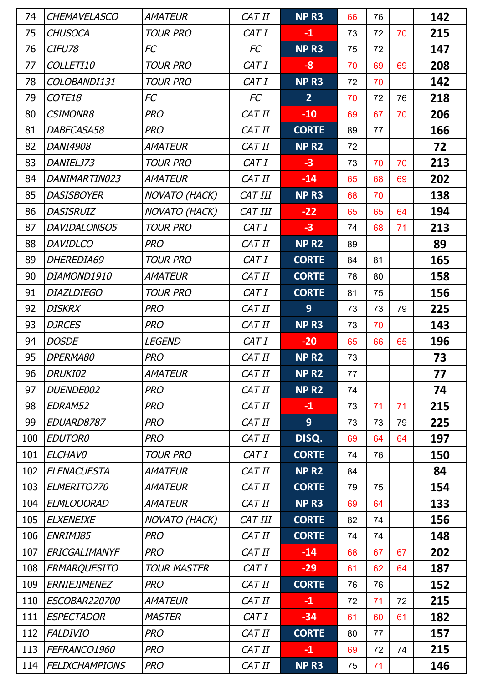| 74  | <b>CHEMAVELASCO</b>   | <b>AMATEUR</b>       | CAT II  | NP <sub>R3</sub> | 66 | 76 |    | 142 |
|-----|-----------------------|----------------------|---------|------------------|----|----|----|-----|
| 75  | <b>CHUSOCA</b>        | <b>TOUR PRO</b>      | CAT I   | $-1$             | 73 | 72 | 70 | 215 |
| 76  | CIFU78                | FC                   | FC      | NP <sub>R3</sub> | 75 | 72 |    | 147 |
| 77  | COLLETI10             | <b>TOUR PRO</b>      | CAT I   | $-8$             | 70 | 69 | 69 | 208 |
| 78  | COLOBANDI131          | <b>TOUR PRO</b>      | CAT I   | NP <sub>R3</sub> | 72 | 70 |    | 142 |
| 79  | COTE18                | FC                   | FC      | $\overline{2}$   | 70 | 72 | 76 | 218 |
| 80  | <b>CSIMONR8</b>       | <b>PRO</b>           | CAT II  | $-10$            | 69 | 67 | 70 | 206 |
| 81  | DABECASA58            | <b>PRO</b>           | CAT II  | <b>CORTE</b>     | 89 | 77 |    | 166 |
| 82  | DANI4908              | AMATEUR              | CAT II  | <b>NPR2</b>      | 72 |    |    | 72  |
| 83  | DANIELJ73             | <b>TOUR PRO</b>      | CAT I   | $-3$             | 73 | 70 | 70 | 213 |
| 84  | DANIMARTIN023         | AMATEUR              | CAT II  | $-14$            | 65 | 68 | 69 | 202 |
| 85  | <b>DASISBOYER</b>     | NOVATO (HACK)        | CAT III | NP <sub>R3</sub> | 68 | 70 |    | 138 |
| 86  | <b>DASISRUIZ</b>      | <b>NOVATO (HACK)</b> | CAT III | $-22$            | 65 | 65 | 64 | 194 |
| 87  | DAVIDALONSO5          | <b>TOUR PRO</b>      | CAT I   | $-3$             | 74 | 68 | 71 | 213 |
| 88  | <b>DAVIDLCO</b>       | <b>PRO</b>           | CAT II  | NP <sub>R2</sub> | 89 |    |    | 89  |
| 89  | DHEREDIA69            | <b>TOUR PRO</b>      | CAT I   | <b>CORTE</b>     | 84 | 81 |    | 165 |
| 90  | DIAMOND1910           | AMATEUR              | CAT II  | <b>CORTE</b>     | 78 | 80 |    | 158 |
| 91  | <b>DIAZLDIEGO</b>     | <b>TOUR PRO</b>      | CAT I   | <b>CORTE</b>     | 81 | 75 |    | 156 |
| 92  | <b>DISKRX</b>         | <b>PRO</b>           | CAT II  | 9                | 73 | 73 | 79 | 225 |
| 93  | <b>DJRCES</b>         | <b>PRO</b>           | CAT II  | NP <sub>R3</sub> | 73 | 70 |    | 143 |
| 94  | <b>DOSDE</b>          | LEGEND               | CAT I   | $-20$            | 65 | 66 | 65 | 196 |
| 95  | DPERMA80              | <b>PRO</b>           | CAT II  | NP <sub>R2</sub> | 73 |    |    | 73  |
| 96  | DRUKI02               | <b>AMATEUR</b>       | CAT II  | NP <sub>R2</sub> | 77 |    |    | 77  |
| 97  | DUENDE002             | <b>PRO</b>           | CAT II  | NP <sub>R2</sub> | 74 |    |    | 74  |
| 98  | EDRAM52               | <b>PRO</b>           | CAT II  | $-1$             | 73 | 71 | 71 | 215 |
| 99  | EDUARD8787            | <b>PRO</b>           | CAT II  | 9                | 73 | 73 | 79 | 225 |
| 100 | <b>EDUTOR0</b>        | <b>PRO</b>           | CAT II  | DISQ.            | 69 | 64 | 64 | 197 |
| 101 | <b>ELCHAVO</b>        | <b>TOUR PRO</b>      | CAT I   | <b>CORTE</b>     | 74 | 76 |    | 150 |
| 102 | <b>ELENACUESTA</b>    | <b>AMATEUR</b>       | CAT II  | NP <sub>R2</sub> | 84 |    |    | 84  |
| 103 | ELMERITO770           | <b>AMATEUR</b>       | CAT II  | <b>CORTE</b>     | 79 | 75 |    | 154 |
| 104 | <b>ELMLOOORAD</b>     | <b>AMATEUR</b>       | CAT II  | NP <sub>R3</sub> | 69 | 64 |    | 133 |
| 105 | <b>ELXENEIXE</b>      | <b>NOVATO (HACK)</b> | CAT III | <b>CORTE</b>     | 82 | 74 |    | 156 |
| 106 | ENRIMJ85              | <b>PRO</b>           | CAT II  | <b>CORTE</b>     | 74 | 74 |    | 148 |
| 107 | ERICGALIMANYF         | <b>PRO</b>           | CAT II  | $-14$            | 68 | 67 | 67 | 202 |
| 108 | <b>ERMARQUESITO</b>   | <b>TOUR MASTER</b>   | CAT I   | $-29$            | 61 | 62 | 64 | 187 |
| 109 | <b>ERNIEJIMENEZ</b>   | <b>PRO</b>           | CAT II  | <b>CORTE</b>     | 76 | 76 |    | 152 |
| 110 | ESCOBAR220700         | <b>AMATEUR</b>       | CAT II  | $-1$             | 72 | 71 | 72 | 215 |
| 111 | <b>ESPECTADOR</b>     | <b>MASTER</b>        | CAT I   | $-34$            | 61 | 60 | 61 | 182 |
| 112 | <b>FALDIVIO</b>       | <b>PRO</b>           | CAT II  | <b>CORTE</b>     | 80 | 77 |    | 157 |
| 113 | FEFRANCO1960          | <b>PRO</b>           | CAT II  | $-1$             | 69 | 72 | 74 | 215 |
| 114 | <b>FELIXCHAMPIONS</b> | <b>PRO</b>           | CAT II  | NP <sub>R3</sub> | 75 | 71 |    | 146 |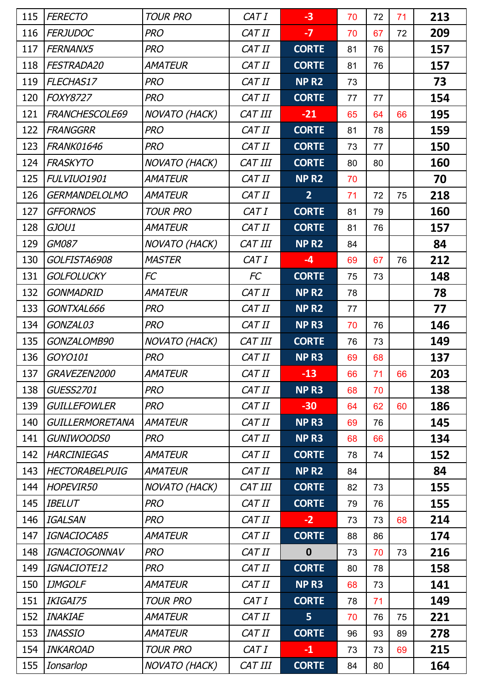| 115 | <b>FERECTO</b>         | <b>TOUR PRO</b>      | CAT I     | $-3$             | 70 | 72 | 71 | 213 |
|-----|------------------------|----------------------|-----------|------------------|----|----|----|-----|
| 116 | <b>FERJUDOC</b>        | <b>PRO</b>           | CAT II    | $-7$             | 70 | 67 | 72 | 209 |
| 117 | FERNANX5               | <b>PRO</b>           | CAT II    | <b>CORTE</b>     | 81 | 76 |    | 157 |
| 118 | FESTRADA20             | <b>AMATEUR</b>       | CAT II    | <b>CORTE</b>     | 81 | 76 |    | 157 |
| 119 | FLECHAS17              | <b>PRO</b>           | CAT II    | NP <sub>R2</sub> | 73 |    |    | 73  |
| 120 | <b>FOXY8727</b>        | <b>PRO</b>           | CAT II    | <b>CORTE</b>     | 77 | 77 |    | 154 |
| 121 | FRANCHESCOLE69         | <b>NOVATO (HACK)</b> | CAT III   | $-21$            | 65 | 64 | 66 | 195 |
| 122 | <b>FRANGGRR</b>        | <b>PRO</b>           | CAT II    | <b>CORTE</b>     | 81 | 78 |    | 159 |
| 123 | <b>FRANK01646</b>      | <b>PRO</b>           | CAT II    | <b>CORTE</b>     | 73 | 77 |    | 150 |
| 124 | <b>FRASKYTO</b>        | <b>NOVATO (HACK)</b> | CAT III   | <b>CORTE</b>     | 80 | 80 |    | 160 |
| 125 | FULVIUO1901            | <b>AMATEUR</b>       | CAT II    | NP <sub>R2</sub> | 70 |    |    | 70  |
| 126 | <b>GERMANDELOLMO</b>   | <b>AMATEUR</b>       | CAT II    | $\overline{2}$   | 71 | 72 | 75 | 218 |
| 127 | <b>GFFORNOS</b>        | <b>TOUR PRO</b>      | CAT I     | <b>CORTE</b>     | 81 | 79 |    | 160 |
| 128 | GJOU1                  | <b>AMATEUR</b>       | CAT II    | <b>CORTE</b>     | 81 | 76 |    | 157 |
| 129 | GM087                  | NOVATO (HACK)        | CAT III   | NP <sub>R2</sub> | 84 |    |    | 84  |
| 130 | GOLFISTA6908           | <b>MASTER</b>        | CAT I     | $-4$             | 69 | 67 | 76 | 212 |
| 131 | <b>GOLFOLUCKY</b>      | FC                   | <b>FC</b> | <b>CORTE</b>     | 75 | 73 |    | 148 |
| 132 | <b>GONMADRID</b>       | <b>AMATEUR</b>       | CAT II    | NP <sub>R2</sub> | 78 |    |    | 78  |
| 133 | GONTXAL666             | <b>PRO</b>           | CAT II    | NP <sub>R2</sub> | 77 |    |    | 77  |
| 134 | GONZAL03               | <b>PRO</b>           | CAT II    | NP <sub>R3</sub> | 70 | 76 |    | 146 |
| 135 | GONZALOMB90            | NOVATO (HACK)        | CAT III   | <b>CORTE</b>     | 76 | 73 |    | 149 |
| 136 | GOYO101                | <b>PRO</b>           | CAT II    | NP <sub>R3</sub> | 69 | 68 |    | 137 |
| 137 | <i>GRAVEZEN2000</i>    | <i>AMATEUR</i>       | CAT II    | $-13$            | 66 | 71 | 66 | 203 |
| 138 | <b>GUESS2701</b>       | <b>PRO</b>           | CAT II    | NP <sub>R3</sub> | 68 | 70 |    | 138 |
| 139 | <b>GUILLEFOWLER</b>    | <b>PRO</b>           | CAT II    | $-30$            | 64 | 62 | 60 | 186 |
| 140 | <b>GUILLERMORETANA</b> | <b>AMATEUR</b>       | CAT II    | NP <sub>R3</sub> | 69 | 76 |    | 145 |
| 141 | <b>GUNIWOODS0</b>      | <b>PRO</b>           | CAT II    | NP <sub>R3</sub> | 68 | 66 |    | 134 |
| 142 | <b>HARCINIEGAS</b>     | <b>AMATEUR</b>       | CAT II    | <b>CORTE</b>     | 78 | 74 |    | 152 |
| 143 | <b>HECTORABELPUIG</b>  | <b>AMATEUR</b>       | CAT II    | NP <sub>R2</sub> | 84 |    |    | 84  |
| 144 | <b>HOPEVIR50</b>       | <b>NOVATO (HACK)</b> | CAT III   | <b>CORTE</b>     | 82 | 73 |    | 155 |
| 145 | <b>IBELUT</b>          | <b>PRO</b>           | CAT II    | <b>CORTE</b>     | 79 | 76 |    | 155 |
| 146 | <b>IGALSAN</b>         | <b>PRO</b>           | CAT II    | $-2$             | 73 | 73 | 68 | 214 |
| 147 | IGNACIOCA85            | <b>AMATEUR</b>       | CAT II    | <b>CORTE</b>     | 88 | 86 |    | 174 |
| 148 | <b>IGNACIOGONNAV</b>   | <b>PRO</b>           | CAT II    | $\bf{0}$         | 73 | 70 | 73 | 216 |
| 149 | IGNACIOTE12            | <b>PRO</b>           | CAT II    | <b>CORTE</b>     | 80 | 78 |    | 158 |
| 150 | <b>IJMGOLF</b>         | <b>AMATEUR</b>       | CAT II    | NP <sub>R3</sub> | 68 | 73 |    | 141 |
| 151 | IKIGAI75               | <b>TOUR PRO</b>      | CAT I     | <b>CORTE</b>     | 78 | 71 |    | 149 |
| 152 | <b>INAKIAE</b>         | <b>AMATEUR</b>       | CAT II    | 5                | 70 | 76 | 75 | 221 |
| 153 | <b>INASSIO</b>         | <b>AMATEUR</b>       | CAT II    | <b>CORTE</b>     | 96 | 93 | 89 | 278 |
| 154 | <b>INKAROAD</b>        | <b>TOUR PRO</b>      | CAT I     | $-1$             | 73 | 73 | 69 | 215 |
| 155 | Ionsarlop              | NOVATO (HACK)        | CAT III   | <b>CORTE</b>     | 84 | 80 |    | 164 |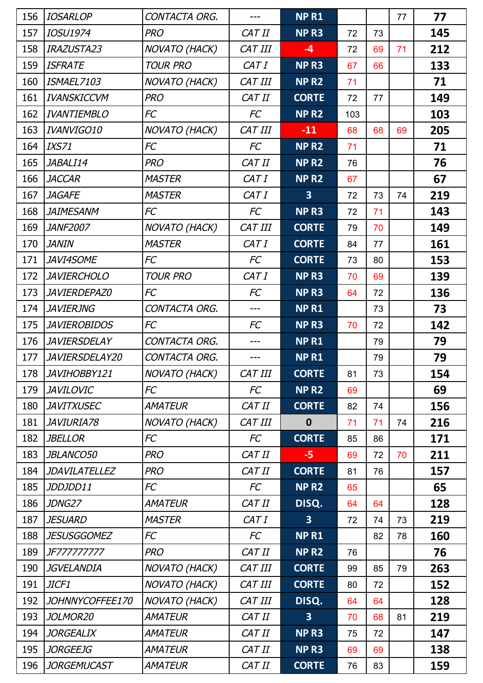| 156 | <b>IOSARLOP</b>      | CONTACTA ORG.        | ---     | <b>NPR1</b>             |     |    | 77 | 77  |
|-----|----------------------|----------------------|---------|-------------------------|-----|----|----|-----|
| 157 | <b>IOSU1974</b>      | <b>PRO</b>           | CAT II  | NP <sub>R3</sub>        | 72  | 73 |    | 145 |
| 158 | IRAZUSTA23           | NOVATO (HACK)        | CAT III | $-4$                    | 72  | 69 | 71 | 212 |
| 159 | <b>ISFRATE</b>       | <b>TOUR PRO</b>      | CAT I   | NP <sub>R3</sub>        | 67  | 66 |    | 133 |
| 160 | ISMAEL7103           | NOVATO (HACK)        | CAT III | <b>NPR2</b>             | 71  |    |    | 71  |
| 161 | <b>IVANSKICCVM</b>   | <b>PRO</b>           | CAT II  | <b>CORTE</b>            | 72  | 77 |    | 149 |
| 162 | <b>IVANTIEMBLO</b>   | FC                   | FC      | NP <sub>R2</sub>        | 103 |    |    | 103 |
| 163 | IVANVIGO10           | NOVATO (HACK)        | CAT III | $-11$                   | 68  | 68 | 69 | 205 |
| 164 | <b>IXS71</b>         | FC                   | FC      | NP <sub>R2</sub>        | 71  |    |    | 71  |
| 165 | JABALI14             | <b>PRO</b>           | CAT II  | NP <sub>R2</sub>        | 76  |    |    | 76  |
| 166 | <b>JACCAR</b>        | <b>MASTER</b>        | CAT I   | NP <sub>R2</sub>        | 67  |    |    | 67  |
| 167 | <b>JAGAFE</b>        | <b>MASTER</b>        | CAT I   | $\overline{\mathbf{3}}$ | 72  | 73 | 74 | 219 |
| 168 | <b>JAIMESANM</b>     | FC                   | FC      | NP <sub>R3</sub>        | 72  | 71 |    | 143 |
| 169 | <b>JANF2007</b>      | NOVATO (HACK)        | CAT III | <b>CORTE</b>            | 79  | 70 |    | 149 |
| 170 | <b>JANIN</b>         | <b>MASTER</b>        | CAT I   | <b>CORTE</b>            | 84  | 77 |    | 161 |
| 171 | JAVI4SOME            | FC                   | FC      | <b>CORTE</b>            | 73  | 80 |    | 153 |
| 172 | <b>JAVIERCHOLO</b>   | <b>TOUR PRO</b>      | CAT I   | NP <sub>R3</sub>        | 70  | 69 |    | 139 |
| 173 | JAVIERDEPAZ0         | FC                   | FC      | NP <sub>R3</sub>        | 64  | 72 |    | 136 |
| 174 | <b>JAVIERJNG</b>     | CONTACTA ORG.        | ---     | NP <sub>R1</sub>        |     | 73 |    | 73  |
| 175 | <b>JAVIEROBIDOS</b>  | FC                   | FC      | NP <sub>R3</sub>        | 70  | 72 |    | 142 |
| 176 | <b>JAVIERSDELAY</b>  | CONTACTA ORG.        |         | NP <sub>R1</sub>        |     | 79 |    | 79  |
| 177 | JAVIERSDELAY20       | CONTACTA ORG.        |         | <b>NPR1</b>             |     | 79 |    | 79  |
| 178 | JAVIHOBBY121         | <b>NOVATO (HACK)</b> | CAT III | <b>CORTE</b>            | 81  | 73 |    | 154 |
| 179 | <b>JAVILOVIC</b>     | FC                   | FC      | NP <sub>R2</sub>        | 69  |    |    | 69  |
| 180 | <b>JAVITXUSEC</b>    | <b>AMATEUR</b>       | CAT II  | <b>CORTE</b>            | 82  | 74 |    | 156 |
| 181 | <b>JAVIURIA78</b>    | <b>NOVATO (HACK)</b> | CAT III | $\boldsymbol{0}$        | 71  | 71 | 74 | 216 |
| 182 | <b>JBELLOR</b>       | FC                   | FC      | <b>CORTE</b>            | 85  | 86 |    | 171 |
| 183 | JBLANCO50            | <b>PRO</b>           | CAT II  | $-5$                    | 69  | 72 | 70 | 211 |
| 184 | <b>JDAVILATELLEZ</b> | <b>PRO</b>           | CAT II  | <b>CORTE</b>            | 81  | 76 |    | 157 |
| 185 | JDDJDD11             | FC                   | FC      | NP <sub>R2</sub>        | 65  |    |    | 65  |
| 186 | JDNG27               | <b>AMATEUR</b>       | CAT II  | DISQ.                   | 64  | 64 |    | 128 |
| 187 | <b>JESUARD</b>       | <b>MASTER</b>        | CAT I   | $\overline{\mathbf{3}}$ | 72  | 74 | 73 | 219 |
| 188 | <b>JESUSGGOMEZ</b>   | FC                   | FC      | <b>NPR1</b>             |     | 82 | 78 | 160 |
| 189 | JF777777777          | <b>PRO</b>           | CAT II  | NP <sub>R2</sub>        | 76  |    |    | 76  |
| 190 | <b>JGVELANDIA</b>    | <b>NOVATO (HACK)</b> | CAT III | <b>CORTE</b>            | 99  | 85 | 79 | 263 |
| 191 | JICF1                | NOVATO (HACK)        | CAT III | <b>CORTE</b>            | 80  | 72 |    | 152 |
| 192 | JOHNNYCOFFEE170      | NOVATO (HACK)        | CAT III | DISQ.                   | 64  | 64 |    | 128 |
| 193 | JOLMOR20             | <b>AMATEUR</b>       | CAT II  | $\overline{\mathbf{3}}$ | 70  | 68 | 81 | 219 |
| 194 | <b>JORGEALIX</b>     | <b>AMATEUR</b>       | CAT II  | NP <sub>R3</sub>        | 75  | 72 |    | 147 |
| 195 | <b>JORGEEJG</b>      | AMATEUR              | CAT II  | NP <sub>R3</sub>        | 69  | 69 |    | 138 |
| 196 | <b>JORGEMUCAST</b>   | <b>AMATEUR</b>       | CAT II  | <b>CORTE</b>            | 76  | 83 |    | 159 |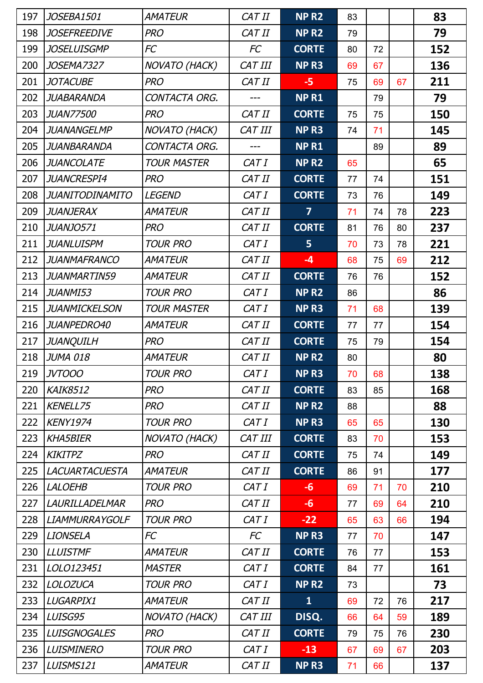| 197 | JOSEBA1501             | <b>AMATEUR</b>       | CAT II    | NP <sub>R2</sub>  | 83 |    |    | 83  |
|-----|------------------------|----------------------|-----------|-------------------|----|----|----|-----|
| 198 | <b>JOSEFREEDIVE</b>    | <b>PRO</b>           | CAT II    | NP <sub>R2</sub>  | 79 |    |    | 79  |
| 199 | <b>JOSELUISGMP</b>     | FC                   | <b>FC</b> | <b>CORTE</b>      | 80 | 72 |    | 152 |
| 200 | <b>JOSEMA7327</b>      | NOVATO (HACK)        | CAT III   | NP <sub>R3</sub>  | 69 | 67 |    | 136 |
| 201 | <b>JOTACUBE</b>        | <b>PRO</b>           | CAT II    | $-5$              | 75 | 69 | 67 | 211 |
| 202 | <b>JUABARANDA</b>      | CONTACTA ORG.        |           | NP <sub>R1</sub>  |    | 79 |    | 79  |
| 203 | <b>JUAN77500</b>       | <b>PRO</b>           | CAT II    | <b>CORTE</b>      | 75 | 75 |    | 150 |
| 204 | <b>JUANANGELMP</b>     | <b>NOVATO (HACK)</b> | CAT III   | NP <sub>R3</sub>  | 74 | 71 |    | 145 |
| 205 | <b>JUANBARANDA</b>     | CONTACTA ORG.        |           | NP <sub>R1</sub>  |    | 89 |    | 89  |
| 206 | <b>JUANCOLATE</b>      | <b>TOUR MASTER</b>   | CAT I     | NP R <sub>2</sub> | 65 |    |    | 65  |
| 207 | <b>JUANCRESPI4</b>     | <b>PRO</b>           | CAT II    | <b>CORTE</b>      | 77 | 74 |    | 151 |
| 208 | <b>JUANITODINAMITO</b> | <b>LEGEND</b>        | CAT I     | <b>CORTE</b>      | 73 | 76 |    | 149 |
| 209 | <b>JUANJERAX</b>       | <b>AMATEUR</b>       | CAT II    | $\overline{7}$    | 71 | 74 | 78 | 223 |
| 210 | JUANJO571              | <b>PRO</b>           | CAT II    | <b>CORTE</b>      | 81 | 76 | 80 | 237 |
| 211 | <b>JUANLUISPM</b>      | <b>TOUR PRO</b>      | CAT I     | 5                 | 70 | 73 | 78 | 221 |
| 212 | <b>JUANMAFRANCO</b>    | <b>AMATEUR</b>       | CAT II    | $-4$              | 68 | 75 | 69 | 212 |
| 213 | JUANMARTIN59           | <b>AMATEUR</b>       | CAT II    | <b>CORTE</b>      | 76 | 76 |    | 152 |
| 214 | JUANMI53               | <b>TOUR PRO</b>      | CAT I     | NP <sub>R2</sub>  | 86 |    |    | 86  |
| 215 | <b>JUANMICKELSON</b>   | <b>TOUR MASTER</b>   | CAT I     | NP <sub>R3</sub>  | 71 | 68 |    | 139 |
| 216 | JUANPEDRO40            | <b>AMATEUR</b>       | CAT II    | <b>CORTE</b>      | 77 | 77 |    | 154 |
| 217 | <b>JUANQUILH</b>       | <b>PRO</b>           | CAT II    | <b>CORTE</b>      | 75 | 79 |    | 154 |
| 218 | <b>JUMA 018</b>        | AMATEUR              | CAT II    | <b>NPR2</b>       | 80 |    |    | 80  |
| 219 | <b>JVTOOO</b>          | <b>TOUR PRO</b>      | CAT I     | NP R3             | 70 | 68 |    | 138 |
| 220 | <b>KAIK8512</b>        | <b>PRO</b>           | CAT II    | <b>CORTE</b>      | 83 | 85 |    | 168 |
| 221 | <b>KENELL75</b>        | <b>PRO</b>           | CAT II    | NP <sub>R2</sub>  | 88 |    |    | 88  |
| 222 | <b>KENY1974</b>        | <b>TOUR PRO</b>      | CAT I     | NP <sub>R3</sub>  | 65 | 65 |    | 130 |
| 223 | <b>KHA5BIER</b>        | <b>NOVATO (HACK)</b> | CAT III   | <b>CORTE</b>      | 83 | 70 |    | 153 |
| 224 | <b>KIKITPZ</b>         | <b>PRO</b>           | CAT II    | <b>CORTE</b>      | 75 | 74 |    | 149 |
| 225 | <b>LACUARTACUESTA</b>  | <b>AMATEUR</b>       | CAT II    | <b>CORTE</b>      | 86 | 91 |    | 177 |
| 226 | <b>LALOEHB</b>         | <b>TOUR PRO</b>      | CAT I     | $-6$              | 69 | 71 | 70 | 210 |
| 227 | <b>LAURILLADELMAR</b>  | <b>PRO</b>           | CAT II    | $-6$              | 77 | 69 | 64 | 210 |
| 228 | <b>LIAMMURRAYGOLF</b>  | <b>TOUR PRO</b>      | CAT I     | $-22$             | 65 | 63 | 66 | 194 |
| 229 | <b>LIONSELA</b>        | FC                   | FC        | NP <sub>R3</sub>  | 77 | 70 |    | 147 |
| 230 | <b>LLUISTMF</b>        | <i>AMATEUR</i>       | CAT II    | <b>CORTE</b>      | 76 | 77 |    | 153 |
| 231 | LOLO123451             | <b>MASTER</b>        | CAT I     | <b>CORTE</b>      | 84 | 77 |    | 161 |
| 232 | <b>LOLOZUCA</b>        | <b>TOUR PRO</b>      | CAT I     | NP <sub>R2</sub>  | 73 |    |    | 73  |
| 233 | LUGARPIX1              | <b>AMATEUR</b>       | CAT II    | $\mathbf{1}$      | 69 | 72 | 76 | 217 |
| 234 | LUISG95                | <b>NOVATO (HACK)</b> | CAT III   | DISQ.             | 66 | 64 | 59 | 189 |
| 235 | <b>LUISGNOGALES</b>    | <b>PRO</b>           | CAT II    | <b>CORTE</b>      | 79 | 75 | 76 | 230 |
| 236 | <b>LUISMINERO</b>      | <b>TOUR PRO</b>      | CAT I     | $-13$             | 67 | 69 | 67 | 203 |
| 237 | LUISMS121              | <b>AMATEUR</b>       | CAT II    | NP <sub>R3</sub>  | 71 | 66 |    | 137 |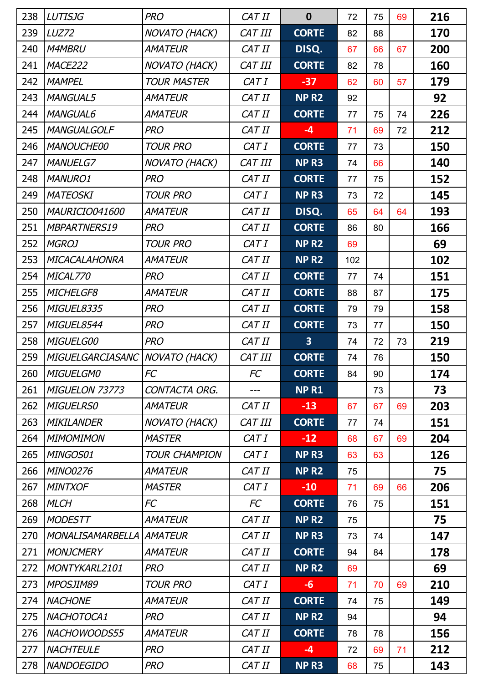| 238 | <b>LUTISJG</b>          | <b>PRO</b>           | CAT II  | $\mathbf 0$      | 72  | 75 | 69 | 216 |
|-----|-------------------------|----------------------|---------|------------------|-----|----|----|-----|
| 239 | LUZ72                   | <b>NOVATO (HACK)</b> | CAT III | <b>CORTE</b>     | 82  | 88 |    | 170 |
| 240 | <b>M4MBRU</b>           | <b>AMATEUR</b>       | CAT II  | DISQ.            | 67  | 66 | 67 | 200 |
| 241 | MACE222                 | NOVATO (HACK)        | CAT III | <b>CORTE</b>     | 82  | 78 |    | 160 |
| 242 | <b>MAMPEL</b>           | <b>TOUR MASTER</b>   | CAT I   | $-37$            | 62  | 60 | 57 | 179 |
| 243 | <b>MANGUAL5</b>         | <b>AMATEUR</b>       | CAT II  | NP <sub>R2</sub> | 92  |    |    | 92  |
| 244 | <b>MANGUAL6</b>         | <b>AMATEUR</b>       | CAT II  | <b>CORTE</b>     | 77  | 75 | 74 | 226 |
| 245 | <b>MANGUALGOLF</b>      | <b>PRO</b>           | CAT II  | $-4$             | 71  | 69 | 72 | 212 |
| 246 | <b>MANOUCHE00</b>       | <b>TOUR PRO</b>      | CAT I   | <b>CORTE</b>     | 77  | 73 |    | 150 |
| 247 | <b>MANUELG7</b>         | <b>NOVATO (HACK)</b> | CAT III | NP <sub>R3</sub> | 74  | 66 |    | 140 |
| 248 | <b>MANURO1</b>          | <b>PRO</b>           | CAT II  | <b>CORTE</b>     | 77  | 75 |    | 152 |
| 249 | <b>MATEOSKI</b>         | <b>TOUR PRO</b>      | CAT I   | NP R3            | 73  | 72 |    | 145 |
| 250 | MAURICIO041600          | <b>AMATEUR</b>       | CAT II  | DISQ.            | 65  | 64 | 64 | 193 |
| 251 | <b>MBPARTNERS19</b>     | <b>PRO</b>           | CAT II  | <b>CORTE</b>     | 86  | 80 |    | 166 |
| 252 | <b>MGROJ</b>            | <b>TOUR PRO</b>      | CAT I   | NP <sub>R2</sub> | 69  |    |    | 69  |
| 253 | <b>MICACALAHONRA</b>    | <b>AMATEUR</b>       | CAT II  | NP <sub>R2</sub> | 102 |    |    | 102 |
| 254 | MICAL770                | <b>PRO</b>           | CAT II  | <b>CORTE</b>     | 77  | 74 |    | 151 |
| 255 | MICHELGF8               | <b>AMATEUR</b>       | CAT II  | <b>CORTE</b>     | 88  | 87 |    | 175 |
| 256 | MIGUEL8335              | <b>PRO</b>           | CAT II  | <b>CORTE</b>     | 79  | 79 |    | 158 |
| 257 | MIGUEL8544              | <b>PRO</b>           | CAT II  | <b>CORTE</b>     | 73  | 77 |    | 150 |
| 258 | MIGUELG00               | <b>PRO</b>           | CAT II  | 3                | 74  | 72 | 73 | 219 |
| 259 | MIGUELGARCIASANC        | NOVATO (HACK)        | CAT III | <b>CORTE</b>     | 74  | 76 |    | 150 |
| 260 | <b>MIGUELGMO</b>        | FC                   | FC      | <b>CORTE</b>     | 84  | 90 |    | 174 |
| 261 | MIGUELON 73773          | CONTACTA ORG.        | ---     | <b>NPR1</b>      |     | 73 |    | 73  |
| 262 | <b>MIGUELRS0</b>        | <b>AMATEUR</b>       | CAT II  | $-13$            | 67  | 67 | 69 | 203 |
| 263 | <b>MIKILANDER</b>       | <b>NOVATO (HACK)</b> | CAT III | <b>CORTE</b>     | 77  | 74 |    | 151 |
| 264 | <b>MIMOMIMON</b>        | <b>MASTER</b>        | CAT I   | $-12$            | 68  | 67 | 69 | 204 |
| 265 | MINGOS01                | <b>TOUR CHAMPION</b> | CAT I   | NP <sub>R3</sub> | 63  | 63 |    | 126 |
| 266 | <b>MINO0276</b>         | <b>AMATEUR</b>       | CAT II  | NP <sub>R2</sub> | 75  |    |    | 75  |
| 267 | <b>MINTXOF</b>          | <b>MASTER</b>        | CAT I   | $-10$            | 71  | 69 | 66 | 206 |
| 268 | <b>MLCH</b>             | <b>FC</b>            | FC      | <b>CORTE</b>     | 76  | 75 |    | 151 |
| 269 | <b>MODESTT</b>          | <b>AMATEUR</b>       | CAT II  | NP <sub>R2</sub> | 75  |    |    | 75  |
| 270 | <b>MONALISAMARBELLA</b> | <b>AMATEUR</b>       | CAT II  | NP <sub>R3</sub> | 73  | 74 |    | 147 |
| 271 | <b>MONJCMERY</b>        | <b>AMATEUR</b>       | CAT II  | <b>CORTE</b>     | 94  | 84 |    | 178 |
| 272 | MONTYKARL2101           | <b>PRO</b>           | CAT II  | NP <sub>R2</sub> | 69  |    |    | 69  |
| 273 | MPOSJIM89               | <b>TOUR PRO</b>      | CAT I   | $-6$             | 71  | 70 | 69 | 210 |
| 274 | <b>NACHONE</b>          | <b>AMATEUR</b>       | CAT II  | <b>CORTE</b>     | 74  | 75 |    | 149 |
| 275 | NACHOTOCA1              | <b>PRO</b>           | CAT II  | NP <sub>R2</sub> | 94  |    |    | 94  |
| 276 | NACHOWOODS55            | <b>AMATEUR</b>       | CAT II  | <b>CORTE</b>     | 78  | 78 |    | 156 |
| 277 | <b>NACHTEULE</b>        | <b>PRO</b>           | CAT II  | $-4$             | 72  | 69 | 71 | 212 |
| 278 | <b>NANDOEGIDO</b>       | <b>PRO</b>           | CAT II  | NP <sub>R3</sub> | 68  | 75 |    | 143 |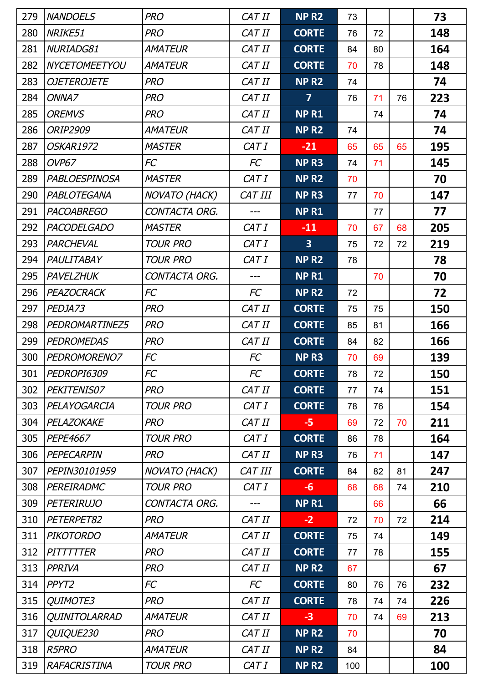| 279 | <b>NANDOELS</b>      | <b>PRO</b>           | CAT II    | NP <sub>R2</sub>        | 73  |    |    | 73         |
|-----|----------------------|----------------------|-----------|-------------------------|-----|----|----|------------|
| 280 | NRIKE51              | <b>PRO</b>           | CAT II    | <b>CORTE</b>            | 76  | 72 |    | 148        |
| 281 | NURIADG81            | <b>AMATEUR</b>       | CAT II    | <b>CORTE</b>            | 84  | 80 |    | 164        |
| 282 | <b>NYCETOMEETYOU</b> | <b>AMATEUR</b>       | CAT II    | <b>CORTE</b>            | 70  | 78 |    | 148        |
| 283 | <b>OJETEROJETE</b>   | <b>PRO</b>           | CAT II    | NP <sub>R2</sub>        | 74  |    |    | 74         |
| 284 | ONNA7                | <b>PRO</b>           | CAT II    | $\overline{7}$          | 76  | 71 | 76 | 223        |
| 285 | <b>OREMVS</b>        | <b>PRO</b>           | CAT II    | <b>NPR1</b>             |     | 74 |    | 74         |
| 286 | <b>ORIP2909</b>      | <b>AMATEUR</b>       | CAT II    | NP <sub>R2</sub>        | 74  |    |    | 74         |
| 287 | OSKAR1972            | <b>MASTER</b>        | CAT I     | $-21$                   | 65  | 65 | 65 | 195        |
| 288 | OVP67                | <b>FC</b>            | <b>FC</b> | NP <sub>R3</sub>        | 74  | 71 |    | 145        |
| 289 | <b>PABLOESPINOSA</b> | <b>MASTER</b>        | CAT I     | NP <sub>R2</sub>        | 70  |    |    | 70         |
| 290 | PABLOTEGANA          | <b>NOVATO (HACK)</b> | CAT III   | NP <sub>R3</sub>        | 77  | 70 |    | 147        |
| 291 | <b>PACOABREGO</b>    | CONTACTA ORG.        | ---       | <b>NPR1</b>             |     | 77 |    | 77         |
| 292 | <b>PACODELGADO</b>   | <b>MASTER</b>        | CAT I     | $-11$                   | 70  | 67 | 68 | 205        |
| 293 | PARCHEVAL            | <b>TOUR PRO</b>      | CAT I     | $\overline{\mathbf{3}}$ | 75  | 72 | 72 | 219        |
| 294 | PAULITABAY           | <b>TOUR PRO</b>      | CAT I     | NP <sub>R2</sub>        | 78  |    |    | 78         |
| 295 | PAVELZHUK            | CONTACTA ORG.        | $---$     | <b>NPR1</b>             |     | 70 |    | 70         |
| 296 | PEAZOCRACK           | FC                   | FC        | NP <sub>R2</sub>        | 72  |    |    | 72         |
| 297 | PEDJA73              | <b>PRO</b>           | CAT II    | <b>CORTE</b>            | 75  | 75 |    | 150        |
| 298 | PEDROMARTINEZ5       | <b>PRO</b>           | CAT II    | <b>CORTE</b>            | 85  | 81 |    | 166        |
| 299 | <b>PEDROMEDAS</b>    | <b>PRO</b>           | CAT II    | <b>CORTE</b>            | 84  | 82 |    | 166        |
| 300 | PEDROMORENO7         | FC                   | FC        | NP <sub>R3</sub>        | 70  | 69 |    | 139        |
| 301 | PEDROPI6309          | FC                   | <b>FC</b> | <b>CORTE</b>            | 78  | 72 |    | <b>150</b> |
| 302 | PEKITENIS07          | <b>PRO</b>           | CAT II    | <b>CORTE</b>            | 77  | 74 |    | 151        |
| 303 | PELAYOGARCIA         | <b>TOUR PRO</b>      | CAT I     | <b>CORTE</b>            | 78  | 76 |    | 154        |
| 304 | PELAZOKAKE           | <b>PRO</b>           | CAT II    | -5                      | 69  | 72 | 70 | 211        |
| 305 | <b>PEPE4667</b>      | <b>TOUR PRO</b>      | CAT I     | <b>CORTE</b>            | 86  | 78 |    | 164        |
| 306 | PEPECARPIN           | <b>PRO</b>           | CAT II    | NP <sub>R3</sub>        | 76  | 71 |    | 147        |
| 307 | PEPIN30101959        | <b>NOVATO (HACK)</b> | CAT III   | <b>CORTE</b>            | 84  | 82 | 81 | 247        |
| 308 | PEREIRADMC           | <b>TOUR PRO</b>      | CAT I     | $-6$                    | 68  | 68 | 74 | 210        |
| 309 | <b>PETERIRUJO</b>    | CONTACTA ORG.        | ---       | NP <sub>R1</sub>        |     | 66 |    | 66         |
| 310 | PETERPET82           | <b>PRO</b>           | CAT II    | $-2$                    | 72  | 70 | 72 | 214        |
| 311 | <b>PIKOTORDO</b>     | <b>AMATEUR</b>       | CAT II    | <b>CORTE</b>            | 75  | 74 |    | 149        |
| 312 | PITTTTTER            | <b>PRO</b>           | CAT II    | <b>CORTE</b>            | 77  | 78 |    | 155        |
| 313 | PPRIVA               | <b>PRO</b>           | CAT II    | NP <sub>R2</sub>        | 67  |    |    | 67         |
| 314 | PPYT <sub>2</sub>    | FC                   | FC        | <b>CORTE</b>            | 80  | 76 | 76 | 232        |
| 315 | QUIMOTE3             | <b>PRO</b>           | CAT II    | <b>CORTE</b>            | 78  | 74 | 74 | 226        |
| 316 | <b>QUINITOLARRAD</b> | <b>AMATEUR</b>       | CAT II    | $-3$                    | 70  | 74 | 69 | 213        |
| 317 | QUIQUE230            | <b>PRO</b>           | CAT II    | NP <sub>R2</sub>        | 70  |    |    | 70         |
| 318 | <b>R5PRO</b>         | <b>AMATEUR</b>       | CAT II    | NP <sub>R2</sub>        | 84  |    |    | 84         |
| 319 | RAFACRISTINA         | <b>TOUR PRO</b>      | CAT I     | NP <sub>R2</sub>        | 100 |    |    | 100        |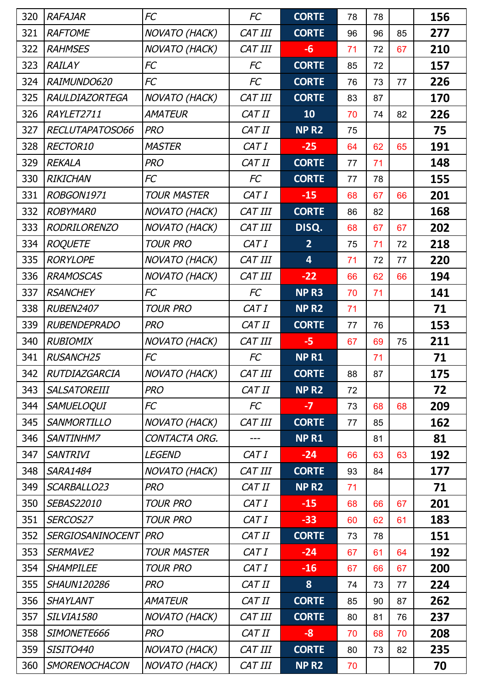| 320 | <b>RAFAJAR</b>        | FC                   | <b>FC</b>      | <b>CORTE</b>            | 78 | 78 |    | 156 |
|-----|-----------------------|----------------------|----------------|-------------------------|----|----|----|-----|
| 321 | <b>RAFTOME</b>        | <b>NOVATO (HACK)</b> | CAT III        | <b>CORTE</b>            | 96 | 96 | 85 | 277 |
| 322 | <b>RAHMSES</b>        | NOVATO (HACK)        | CAT III        | $-6$                    | 71 | 72 | 67 | 210 |
| 323 | <b>RAILAY</b>         | FC                   | <b>FC</b>      | <b>CORTE</b>            | 85 | 72 |    | 157 |
| 324 | RAIMUNDO620           | FC                   | FC             | <b>CORTE</b>            | 76 | 73 | 77 | 226 |
| 325 | <b>RAULDIAZORTEGA</b> | <b>NOVATO (HACK)</b> | CAT III        | <b>CORTE</b>            | 83 | 87 |    | 170 |
| 326 | RAYLET2711            | <b>AMATEUR</b>       | CAT II         | 10                      | 70 | 74 | 82 | 226 |
| 327 | RECLUTAPATOSO66       | <b>PRO</b>           | CAT II         | NP <sub>R2</sub>        | 75 |    |    | 75  |
| 328 | RECTOR10              | <b>MASTER</b>        | CAT I          | $-25$                   | 64 | 62 | 65 | 191 |
| 329 | <b>REKALA</b>         | <b>PRO</b>           | CAT II         | <b>CORTE</b>            | 77 | 71 |    | 148 |
| 330 | <b>RIKICHAN</b>       | FC                   | FC             | <b>CORTE</b>            | 77 | 78 |    | 155 |
| 331 | ROBGON1971            | <b>TOUR MASTER</b>   | CAT I          | $-15$                   | 68 | 67 | 66 | 201 |
| 332 | <b>ROBYMAR0</b>       | NOVATO (HACK)        | CAT III        | <b>CORTE</b>            | 86 | 82 |    | 168 |
| 333 | <b>RODRILORENZO</b>   | <b>NOVATO (HACK)</b> | CAT III        | DISQ.                   | 68 | 67 | 67 | 202 |
| 334 | <b>ROQUETE</b>        | <b>TOUR PRO</b>      | CAT I          | $\overline{2}$          | 75 | 71 | 72 | 218 |
| 335 | <b>RORYLOPE</b>       | NOVATO (HACK)        | CAT III        | $\overline{\mathbf{4}}$ | 71 | 72 | 77 | 220 |
| 336 | <b>RRAMOSCAS</b>      | <b>NOVATO (HACK)</b> | CAT III        | $-22$                   | 66 | 62 | 66 | 194 |
| 337 | <b>RSANCHEY</b>       | <b>FC</b>            | <b>FC</b>      | NP <sub>R3</sub>        | 70 | 71 |    | 141 |
| 338 | <b>RUBEN2407</b>      | <b>TOUR PRO</b>      | CAT I          | NP <sub>R2</sub>        | 71 |    |    | 71  |
| 339 | <b>RUBENDEPRADO</b>   | <b>PRO</b>           | CAT II         | <b>CORTE</b>            | 77 | 76 |    | 153 |
| 340 | <b>RUBIOMIX</b>       | NOVATO (HACK)        | CAT III        | $-5$                    | 67 | 69 | 75 | 211 |
| 341 | <b>RUSANCH25</b>      | FC                   | FC             | <b>NPR1</b>             |    | 71 |    | 71  |
| 342 | RUTDIAZGARCIA         | <b>NOVATO (HACK)</b> | <b>CAT III</b> | <b>CORTE</b>            | 88 | 87 |    | 175 |
| 343 | <b>SALSATOREIII</b>   | <b>PRO</b>           | CAT II         | NP <sub>R2</sub>        | 72 |    |    | 72  |
| 344 | <b>SAMUELOQUI</b>     | FC                   | FC             | $-7$                    | 73 | 68 | 68 | 209 |
| 345 | <b>SANMORTILLO</b>    | <b>NOVATO (HACK)</b> | CAT III        | <b>CORTE</b>            | 77 | 85 |    | 162 |
| 346 | <b>SANTINHM7</b>      | CONTACTA ORG.        |                | <b>NPR1</b>             |    | 81 |    | 81  |
| 347 | <b>SANTRIVI</b>       | <b>LEGEND</b>        | CAT I          | $-24$                   | 66 | 63 | 63 | 192 |
| 348 | <b>SARA1484</b>       | <b>NOVATO (HACK)</b> | CAT III        | <b>CORTE</b>            | 93 | 84 |    | 177 |
| 349 | SCARBALLO23           | <b>PRO</b>           | CAT II         | NP <sub>R2</sub>        | 71 |    |    | 71  |
| 350 | SEBAS22010            | <b>TOUR PRO</b>      | CAT I          | $-15$                   | 68 | 66 | 67 | 201 |
| 351 | SERCOS27              | <b>TOUR PRO</b>      | CAT I          | $-33$                   | 60 | 62 | 61 | 183 |
| 352 | SERGIOSANINOCENT      | PRO                  | CAT II         | <b>CORTE</b>            | 73 | 78 |    | 151 |
| 353 | SERMAVE2              | <b>TOUR MASTER</b>   | CAT I          | $-24$                   | 67 | 61 | 64 | 192 |
| 354 | <b>SHAMPILEE</b>      | <b>TOUR PRO</b>      | CAT I          | $-16$                   | 67 | 66 | 67 | 200 |
| 355 | <b>SHAUN120286</b>    | <b>PRO</b>           | CAT II         | 8                       | 74 | 73 | 77 | 224 |
| 356 | <b>SHAYLANT</b>       | AMATEUR              | CAT II         | <b>CORTE</b>            | 85 | 90 | 87 | 262 |
| 357 | <b>SILVIA1580</b>     | <b>NOVATO (HACK)</b> | CAT III        | <b>CORTE</b>            | 80 | 81 | 76 | 237 |
| 358 | SIMONETE666           | <b>PRO</b>           | CAT II         | $-8$                    | 70 | 68 | 70 | 208 |
| 359 | <b>SISITO440</b>      | <b>NOVATO (HACK)</b> | CAT III        | <b>CORTE</b>            | 80 | 73 | 82 | 235 |
| 360 | <b>SMORENOCHACON</b>  | NOVATO (HACK)        | CAT III        | NP <sub>R2</sub>        | 70 |    |    | 70  |